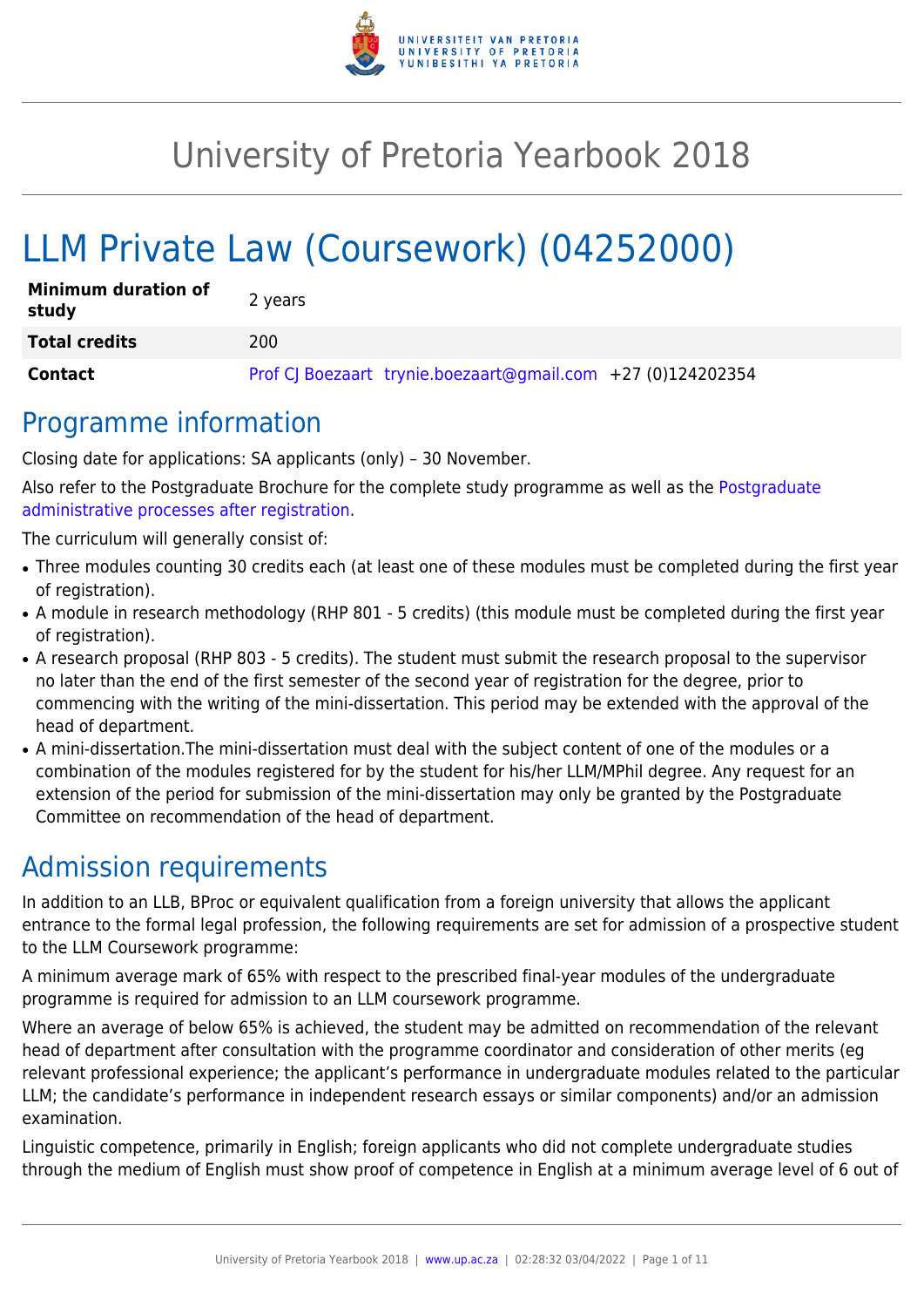

# University of Pretoria Yearbook 2018

# LLM Private Law (Coursework) (04252000)

| <b>Minimum duration of</b><br>study | 2 years                                                     |
|-------------------------------------|-------------------------------------------------------------|
| <b>Total credits</b>                | 200                                                         |
| Contact                             | Prof CJ Boezaart trynie.boezaart@gmail.com +27 (0)124202354 |

### Programme information

Closing date for applications: SA applicants (only) – 30 November.

Also refer to the Postgraduate Brochure for the complete study programme as well as the [Postgraduate](http://www.up.ac.za/media/shared/10/ZP_Files/post-graduate-administrative-processes-brochures-for-the-faculty-web.zp124870.pdf) [administrative processes after registration.](http://www.up.ac.za/media/shared/10/ZP_Files/post-graduate-administrative-processes-brochures-for-the-faculty-web.zp124870.pdf)

The curriculum will generally consist of:

- Three modules counting 30 credits each (at least one of these modules must be completed during the first year of registration).
- A module in research methodology (RHP 801 5 credits) (this module must be completed during the first year of registration).
- A research proposal (RHP 803 5 credits). The student must submit the research proposal to the supervisor no later than the end of the first semester of the second year of registration for the degree, prior to commencing with the writing of the mini-dissertation. This period may be extended with the approval of the head of department.
- A mini-dissertation. The mini-dissertation must deal with the subject content of one of the modules or a combination of the modules registered for by the student for his/her LLM/MPhil degree. Any request for an extension of the period for submission of the mini-dissertation may only be granted by the Postgraduate Committee on recommendation of the head of department.

## Admission requirements

In addition to an LLB, BProc or equivalent qualification from a foreign university that allows the applicant entrance to the formal legal profession, the following requirements are set for admission of a prospective student to the LLM Coursework programme:

A minimum average mark of 65% with respect to the prescribed final-year modules of the undergraduate programme is required for admission to an LLM coursework programme.

Where an average of below 65% is achieved, the student may be admitted on recommendation of the relevant head of department after consultation with the programme coordinator and consideration of other merits (eg relevant professional experience; the applicant's performance in undergraduate modules related to the particular LLM; the candidate's performance in independent research essays or similar components) and/or an admission examination.

Linguistic competence, primarily in English; foreign applicants who did not complete undergraduate studies through the medium of English must show proof of competence in English at a minimum average level of 6 out of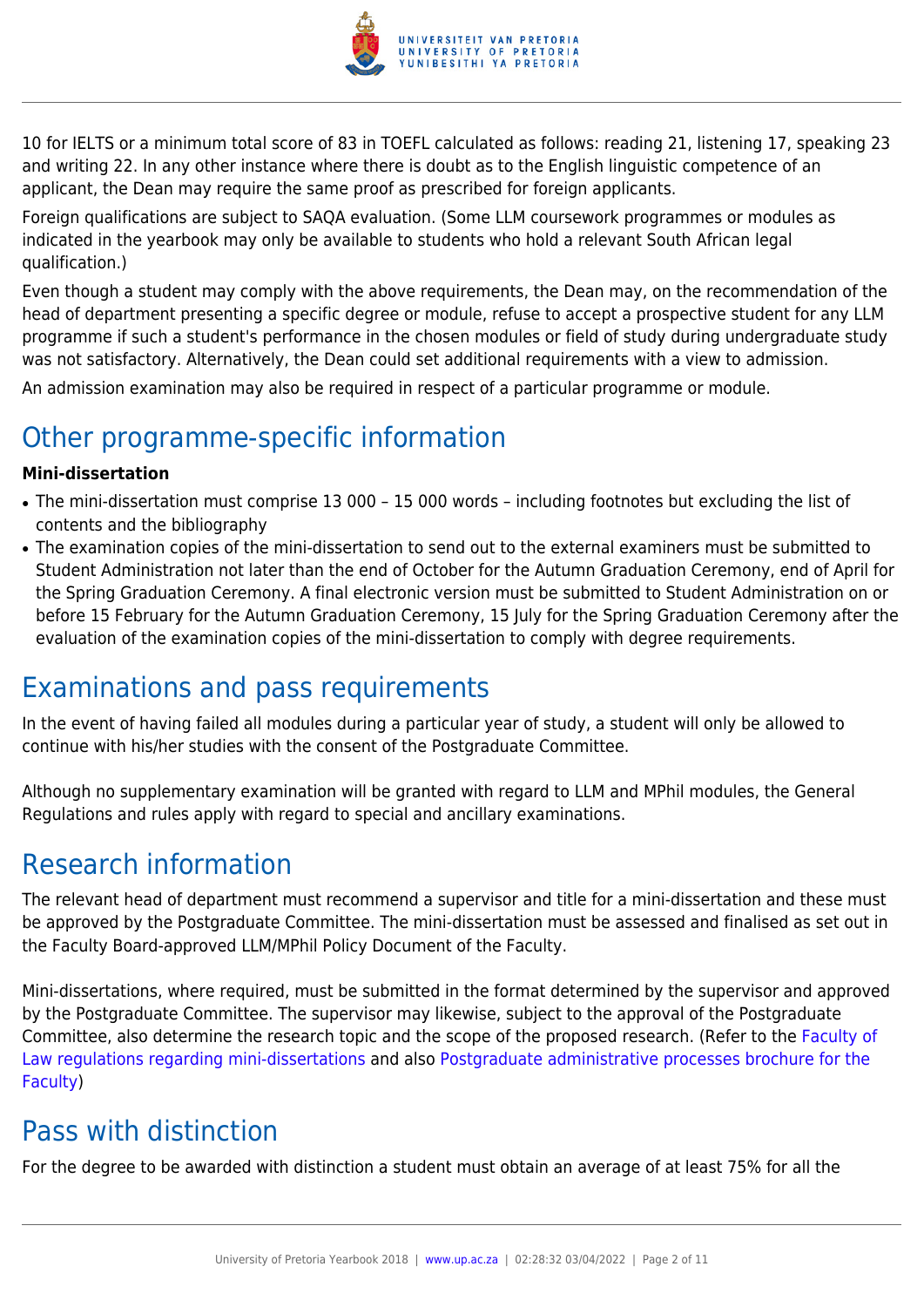

10 for IELTS or a minimum total score of 83 in TOEFL calculated as follows: reading 21, listening 17, speaking 23 and writing 22. In any other instance where there is doubt as to the English linguistic competence of an applicant, the Dean may require the same proof as prescribed for foreign applicants.

Foreign qualifications are subject to SAQA evaluation. (Some LLM coursework programmes or modules as indicated in the yearbook may only be available to students who hold a relevant South African legal qualification.)

Even though a student may comply with the above requirements, the Dean may, on the recommendation of the head of department presenting a specific degree or module, refuse to accept a prospective student for any LLM programme if such a student's performance in the chosen modules or field of study during undergraduate study was not satisfactory. Alternatively, the Dean could set additional requirements with a view to admission.

An admission examination may also be required in respect of a particular programme or module.

## Other programme-specific information

#### **Mini-dissertation**

- The mini-dissertation must comprise 13 000 15 000 words including footnotes but excluding the list of contents and the bibliography
- The examination copies of the mini-dissertation to send out to the external examiners must be submitted to Student Administration not later than the end of October for the Autumn Graduation Ceremony, end of April for the Spring Graduation Ceremony. A final electronic version must be submitted to Student Administration on or before 15 February for the Autumn Graduation Ceremony, 15 July for the Spring Graduation Ceremony after the evaluation of the examination copies of the mini-dissertation to comply with degree requirements.

## Examinations and pass requirements

In the event of having failed all modules during a particular year of study, a student will only be allowed to continue with his/her studies with the consent of the Postgraduate Committee.

Although no supplementary examination will be granted with regard to LLM and MPhil modules, the General Regulations and rules apply with regard to special and ancillary examinations.

### Research information

The relevant head of department must recommend a supervisor and title for a mini-dissertation and these must be approved by the Postgraduate Committee. The mini-dissertation must be assessed and finalised as set out in the Faculty Board-approved LLM/MPhil Policy Document of the Faculty.

Mini-dissertations, where required, must be submitted in the format determined by the supervisor and approved by the Postgraduate Committee. The supervisor may likewise, subject to the approval of the Postgraduate Committee, also determine the research topic and the scope of the proposed research. (Refer to the [Faculty of](http://www.up.ac.za/media/shared/10/ZP_Files/faculty-regulations-for-the-mini-dissertation.zp124872.pdf) [Law regulations regarding mini-dissertations](http://www.up.ac.za/media/shared/10/ZP_Files/faculty-regulations-for-the-mini-dissertation.zp124872.pdf) and also [Postgraduate administrative processes brochure for the](http://www.up.ac.za/media/shared/10/ZP_Files/post-graduate-administrative-processes-brochures-for-the-faculty-web.zp124870.pdf) [Faculty](http://www.up.ac.za/media/shared/10/ZP_Files/post-graduate-administrative-processes-brochures-for-the-faculty-web.zp124870.pdf))

## Pass with distinction

For the degree to be awarded with distinction a student must obtain an average of at least 75% for all the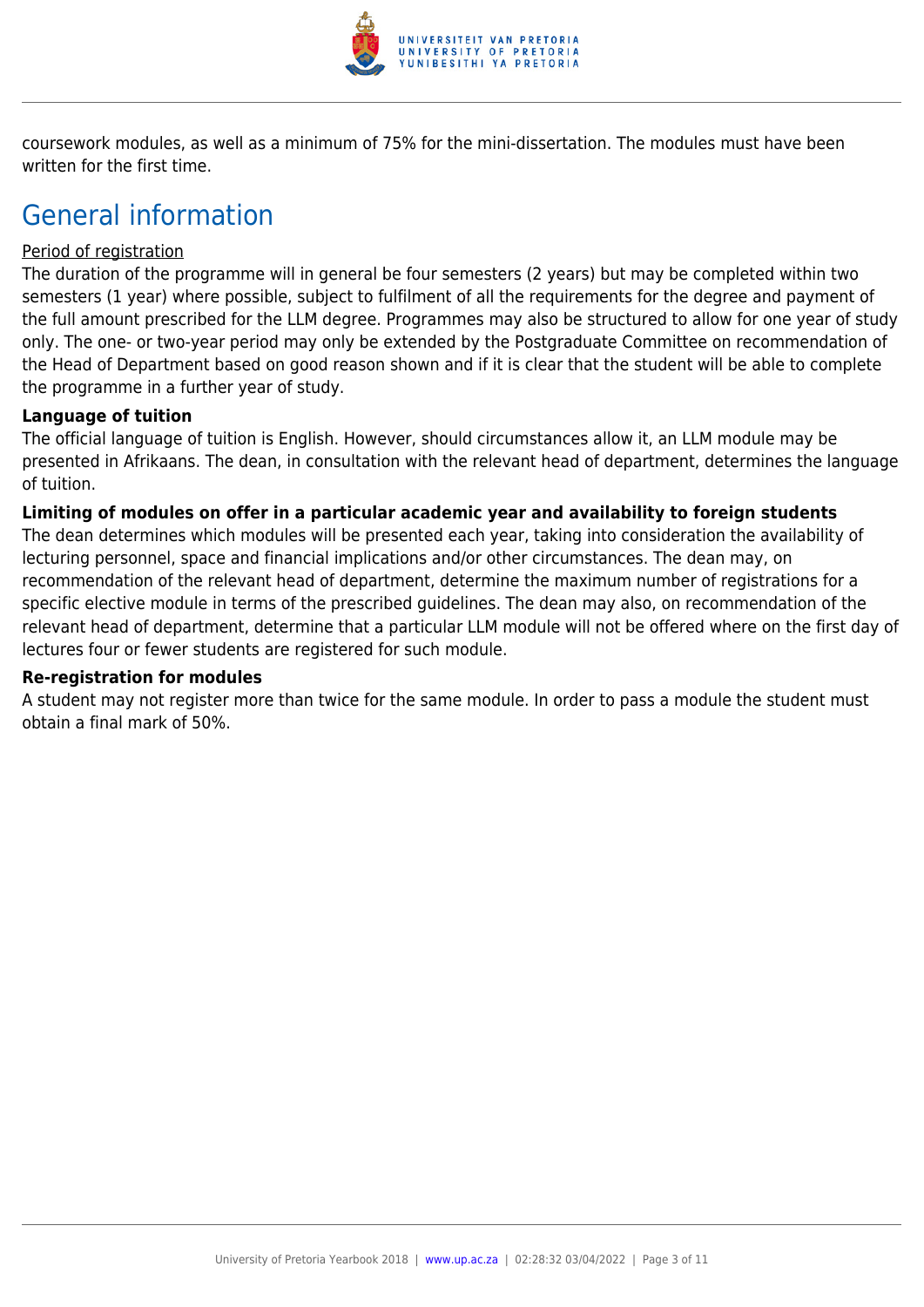

coursework modules, as well as a minimum of 75% for the mini-dissertation. The modules must have been written for the first time.

### General information

#### Period of registration

The duration of the programme will in general be four semesters (2 years) but may be completed within two semesters (1 year) where possible, subject to fulfilment of all the requirements for the degree and payment of the full amount prescribed for the LLM degree. Programmes may also be structured to allow for one year of study only. The one- or two-year period may only be extended by the Postgraduate Committee on recommendation of the Head of Department based on good reason shown and if it is clear that the student will be able to complete the programme in a further year of study.

#### **Language of tuition**

The official language of tuition is English. However, should circumstances allow it, an LLM module may be presented in Afrikaans. The dean, in consultation with the relevant head of department, determines the language of tuition.

#### **Limiting of modules on offer in a particular academic year and availability to foreign students**

The dean determines which modules will be presented each year, taking into consideration the availability of lecturing personnel, space and financial implications and/or other circumstances. The dean may, on recommendation of the relevant head of department, determine the maximum number of registrations for a specific elective module in terms of the prescribed guidelines. The dean may also, on recommendation of the relevant head of department, determine that a particular LLM module will not be offered where on the first day of lectures four or fewer students are registered for such module.

#### **Re-registration for modules**

A student may not register more than twice for the same module. In order to pass a module the student must obtain a final mark of 50%.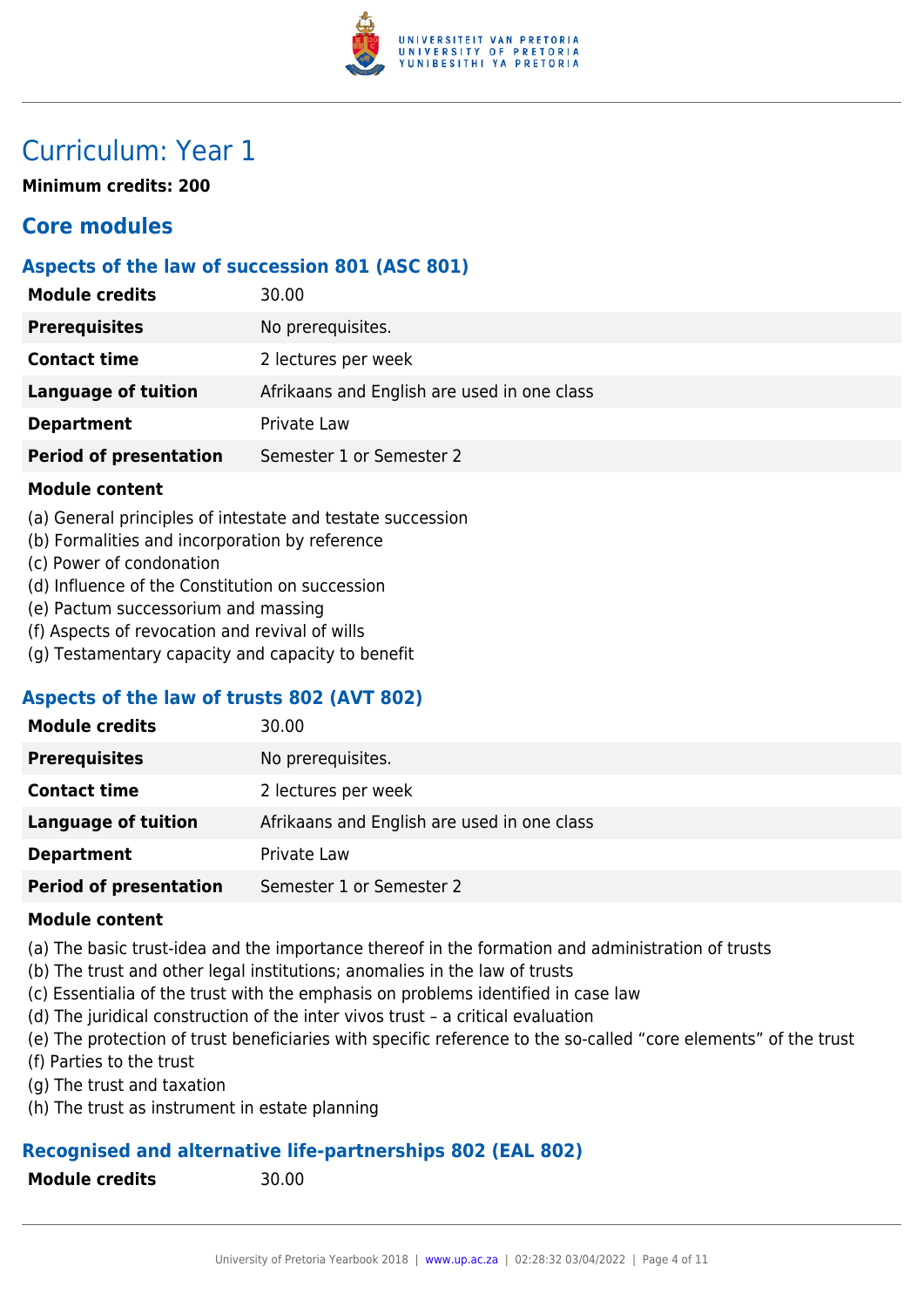

### Curriculum: Year 1

**Minimum credits: 200**

### **Core modules**

#### **Aspects of the law of succession 801 (ASC 801)**

| <b>Module credits</b>         | 30.00                                       |
|-------------------------------|---------------------------------------------|
| <b>Prerequisites</b>          | No prerequisites.                           |
| <b>Contact time</b>           | 2 lectures per week                         |
| <b>Language of tuition</b>    | Afrikaans and English are used in one class |
| <b>Department</b>             | Private Law                                 |
| <b>Period of presentation</b> | Semester 1 or Semester 2                    |

#### **Module content**

- (a) General principles of intestate and testate succession
- (b) Formalities and incorporation by reference
- (c) Power of condonation
- (d) Influence of the Constitution on succession
- (e) Pactum successorium and massing
- (f) Aspects of revocation and revival of wills
- (g) Testamentary capacity and capacity to benefit

#### **Aspects of the law of trusts 802 (AVT 802)**

| <b>Module credits</b>         | 30.00                                       |
|-------------------------------|---------------------------------------------|
| <b>Prerequisites</b>          | No prerequisites.                           |
| <b>Contact time</b>           | 2 lectures per week                         |
| <b>Language of tuition</b>    | Afrikaans and English are used in one class |
| <b>Department</b>             | Private Law                                 |
| <b>Period of presentation</b> | Semester 1 or Semester 2                    |

#### **Module content**

- (a) The basic trust-idea and the importance thereof in the formation and administration of trusts
- (b) The trust and other legal institutions; anomalies in the law of trusts
- (c) Essentialia of the trust with the emphasis on problems identified in case law
- (d) The juridical construction of the inter vivos trust a critical evaluation
- (e) The protection of trust beneficiaries with specific reference to the so-called "core elements" of the trust
- (f) Parties to the trust
- (g) The trust and taxation
- (h) The trust as instrument in estate planning

#### **Recognised and alternative life-partnerships 802 (EAL 802)**

**Module credits** 30.00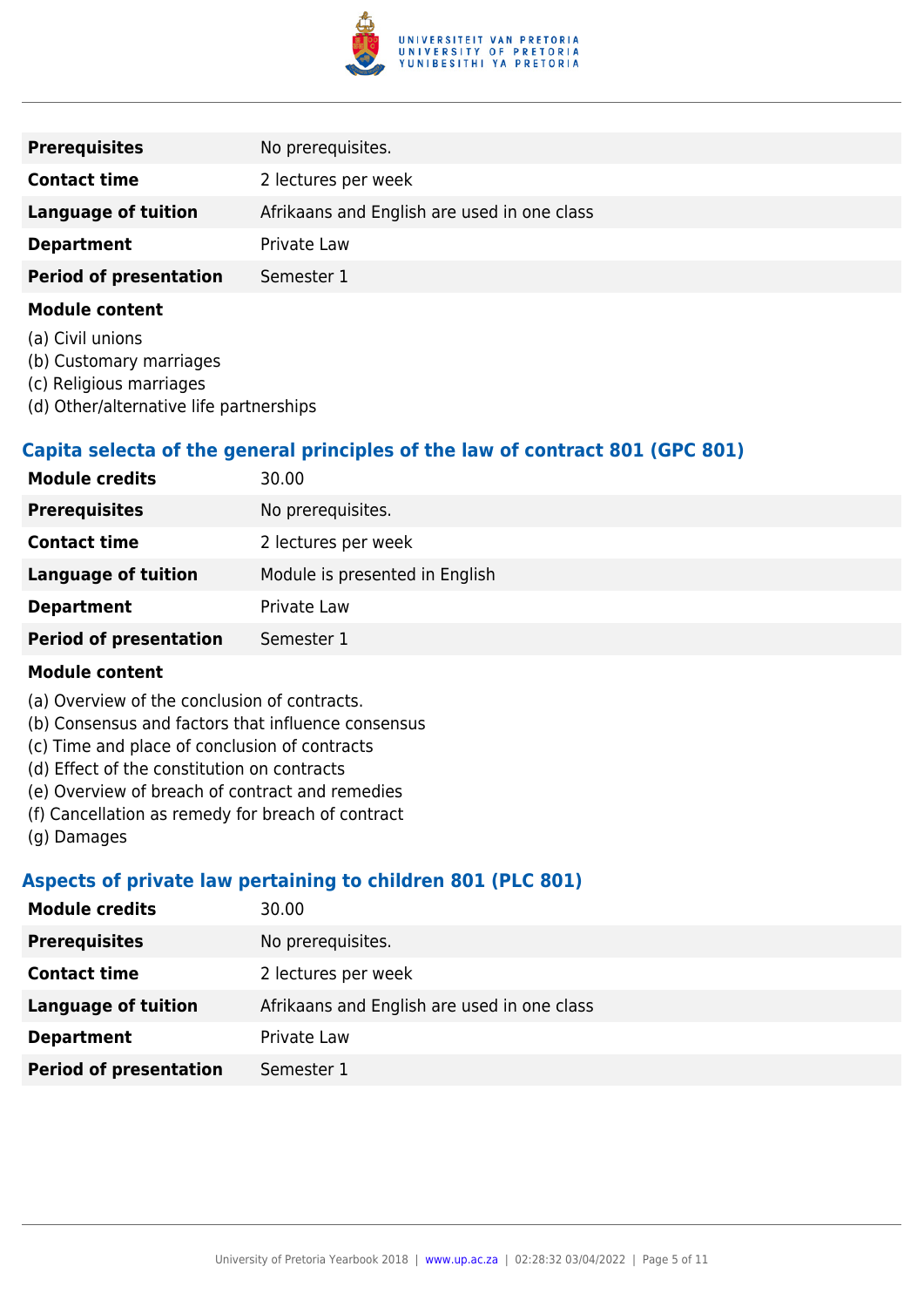

| <b>Prerequisites</b>          | No prerequisites.                           |
|-------------------------------|---------------------------------------------|
| <b>Contact time</b>           | 2 lectures per week                         |
| Language of tuition           | Afrikaans and English are used in one class |
| <b>Department</b>             | Private Law                                 |
| <b>Period of presentation</b> | Semester 1                                  |
|                               |                                             |

- (a) Civil unions
- (b) Customary marriages
- (c) Religious marriages
- (d) Other/alternative life partnerships

#### **Capita selecta of the general principles of the law of contract 801 (GPC 801)**

| <b>Module credits</b>         | 30.00                          |
|-------------------------------|--------------------------------|
| <b>Prerequisites</b>          | No prerequisites.              |
| <b>Contact time</b>           | 2 lectures per week            |
| <b>Language of tuition</b>    | Module is presented in English |
| <b>Department</b>             | Private Law                    |
| <b>Period of presentation</b> | Semester 1                     |

#### **Module content**

- (a) Overview of the conclusion of contracts.
- (b) Consensus and factors that influence consensus
- (c) Time and place of conclusion of contracts
- (d) Effect of the constitution on contracts
- (e) Overview of breach of contract and remedies
- (f) Cancellation as remedy for breach of contract
- (g) Damages

#### **Aspects of private law pertaining to children 801 (PLC 801)**

| <b>Module credits</b>         | 30.00                                       |
|-------------------------------|---------------------------------------------|
| <b>Prerequisites</b>          | No prerequisites.                           |
| <b>Contact time</b>           | 2 lectures per week                         |
| <b>Language of tuition</b>    | Afrikaans and English are used in one class |
| <b>Department</b>             | Private Law                                 |
| <b>Period of presentation</b> | Semester 1                                  |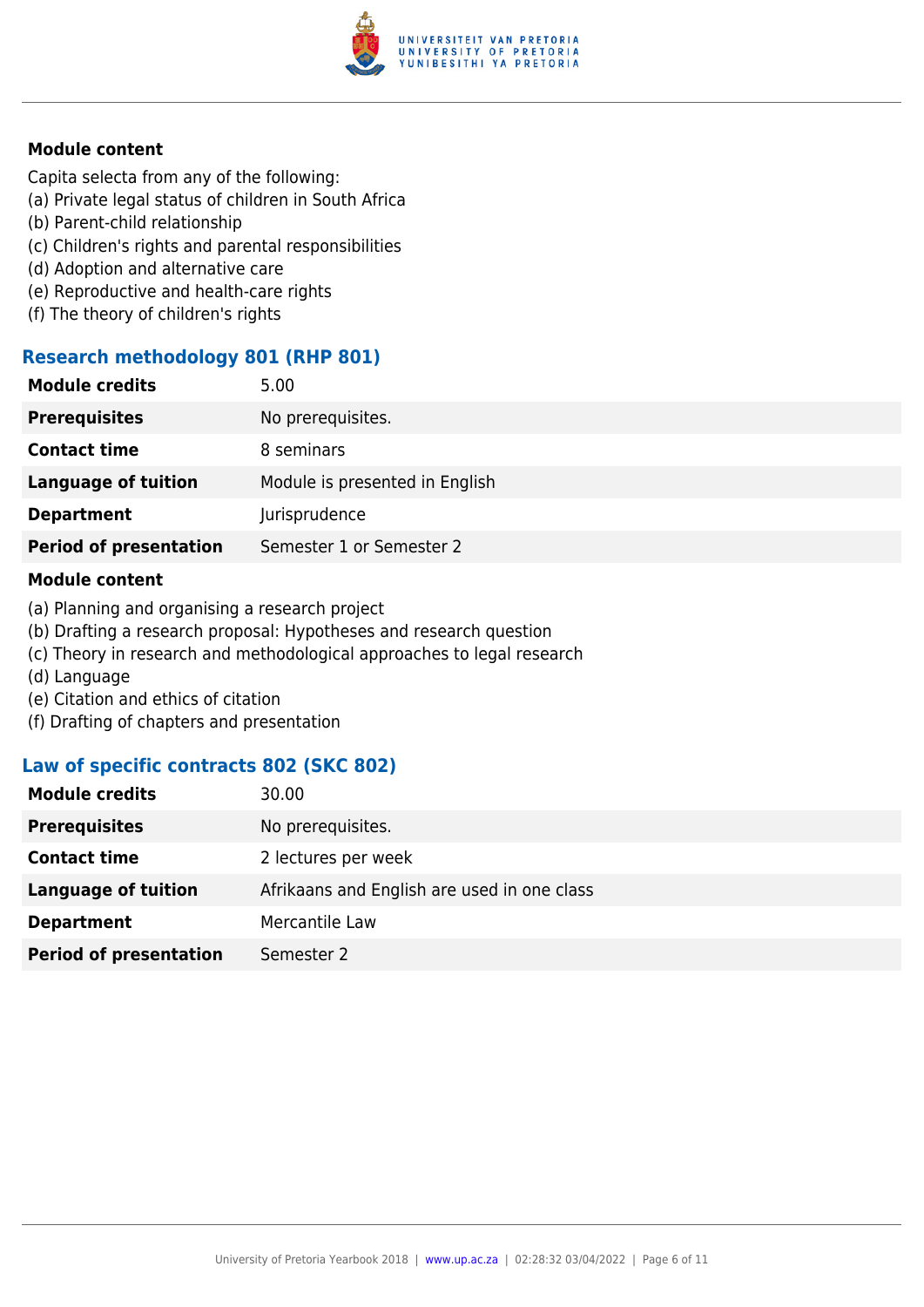

Capita selecta from any of the following:

- (a) Private legal status of children in South Africa
- (b) Parent-child relationship
- (c) Children's rights and parental responsibilities
- (d) Adoption and alternative care
- (e) Reproductive and health-care rights
- (f) The theory of children's rights

#### **Research methodology 801 (RHP 801)**

| 5.00                           |
|--------------------------------|
| No prerequisites.              |
| 8 seminars                     |
| Module is presented in English |
| Jurisprudence                  |
| Semester 1 or Semester 2       |
|                                |

#### **Module content**

- (a) Planning and organising a research project
- (b) Drafting a research proposal: Hypotheses and research question
- (c) Theory in research and methodological approaches to legal research
- (d) Language
- (e) Citation and ethics of citation
- (f) Drafting of chapters and presentation

#### **Law of specific contracts 802 (SKC 802)**

| 30.00                                       |
|---------------------------------------------|
| No prerequisites.                           |
| 2 lectures per week                         |
| Afrikaans and English are used in one class |
| Mercantile Law                              |
| Semester 2                                  |
|                                             |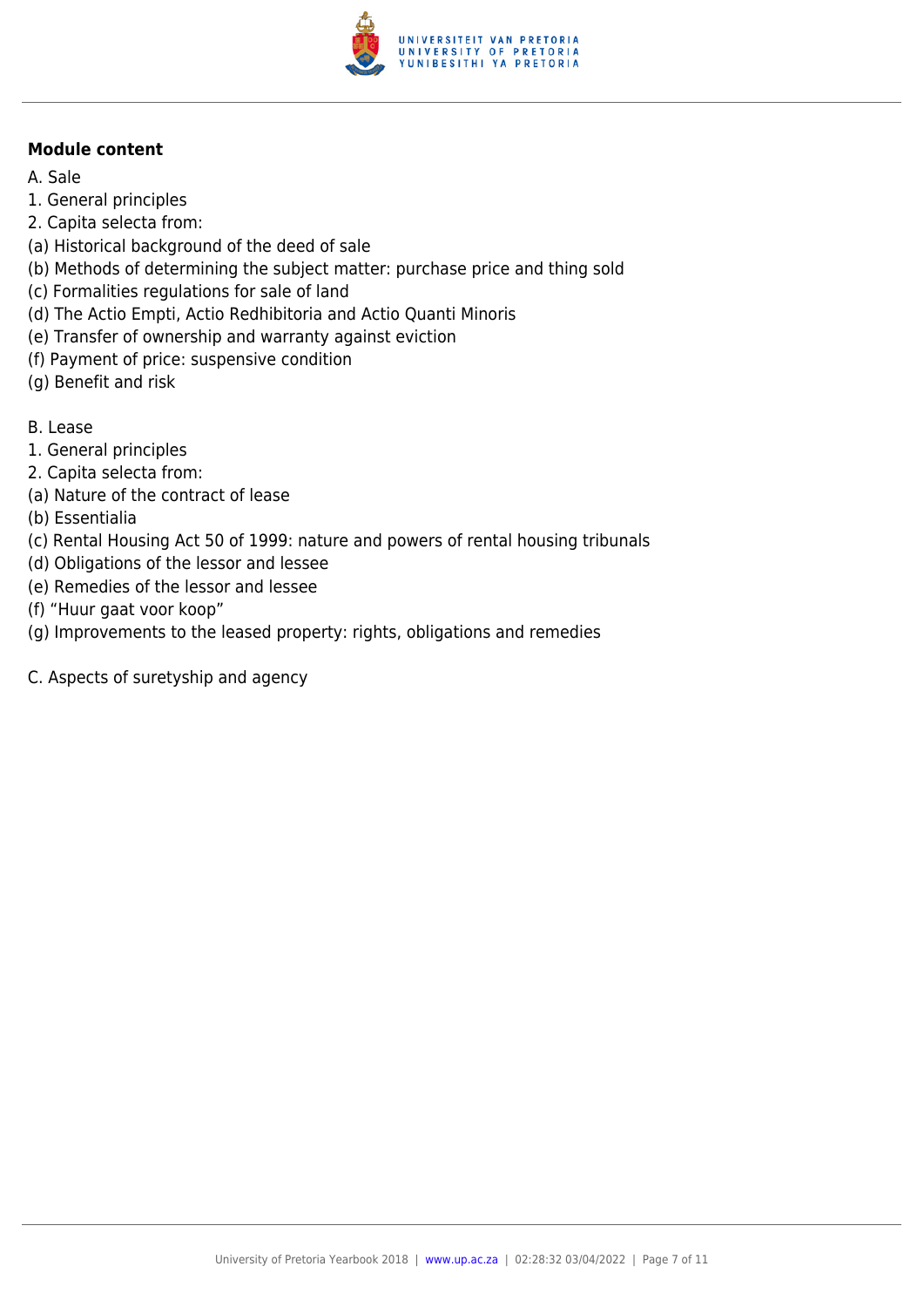

- A. Sale
- 1. General principles
- 2. Capita selecta from:
- (a) Historical background of the deed of sale
- (b) Methods of determining the subject matter: purchase price and thing sold
- (c) Formalities regulations for sale of land
- (d) The Actio Empti, Actio Redhibitoria and Actio Quanti Minoris
- (e) Transfer of ownership and warranty against eviction
- (f) Payment of price: suspensive condition
- (g) Benefit and risk
- B. Lease
- 1. General principles
- 2. Capita selecta from:
- (a) Nature of the contract of lease
- (b) Essentialia
- (c) Rental Housing Act 50 of 1999: nature and powers of rental housing tribunals
- (d) Obligations of the lessor and lessee
- (e) Remedies of the lessor and lessee
- (f) "Huur gaat voor koop"
- (g) Improvements to the leased property: rights, obligations and remedies
- C. Aspects of suretyship and agency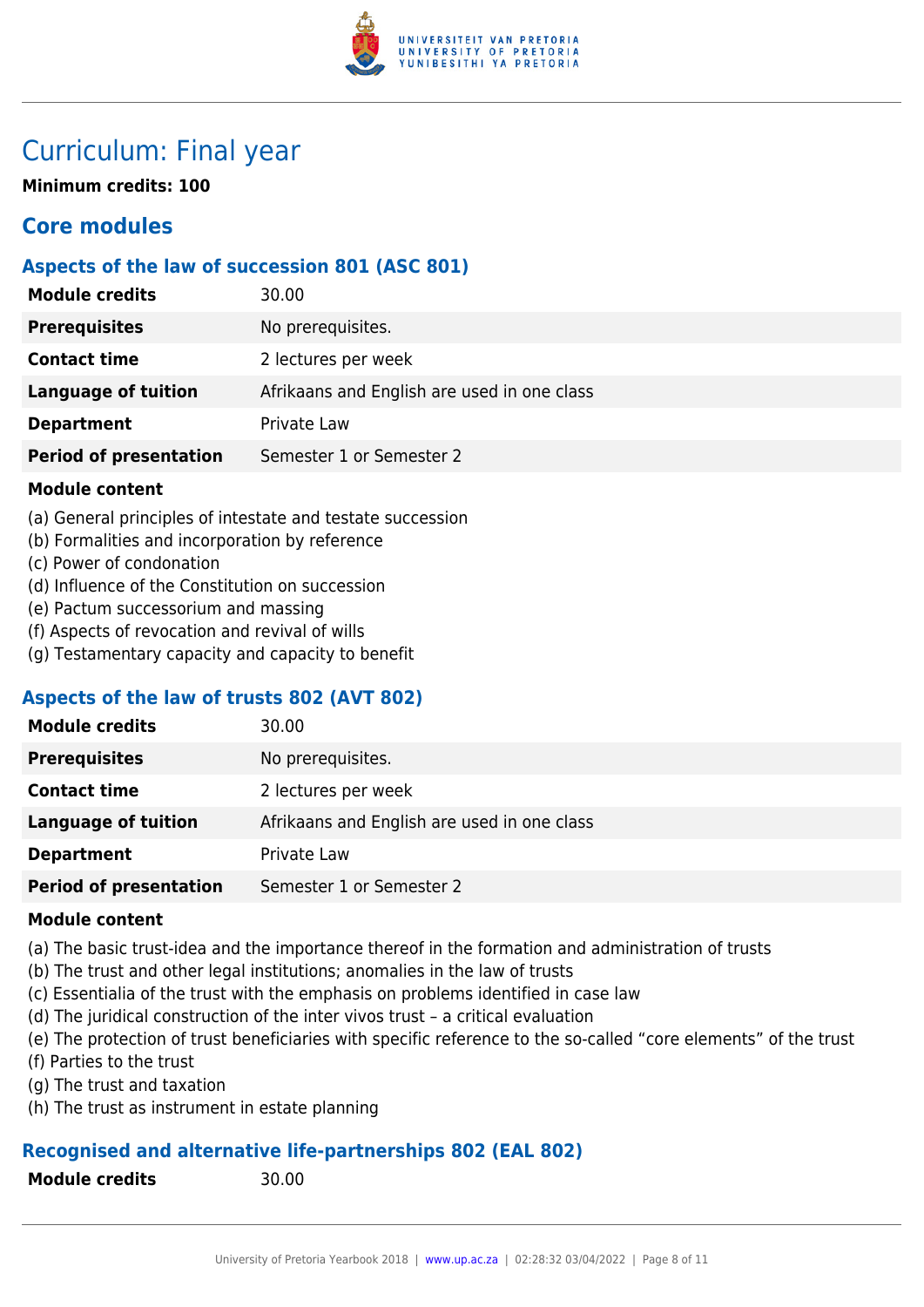

### Curriculum: Final year

**Minimum credits: 100**

### **Core modules**

#### **Aspects of the law of succession 801 (ASC 801)**

| <b>Module credits</b>         | 30.00                                       |
|-------------------------------|---------------------------------------------|
| <b>Prerequisites</b>          | No prerequisites.                           |
| <b>Contact time</b>           | 2 lectures per week                         |
| Language of tuition           | Afrikaans and English are used in one class |
| <b>Department</b>             | Private Law                                 |
| <b>Period of presentation</b> | Semester 1 or Semester 2                    |

#### **Module content**

- (a) General principles of intestate and testate succession
- (b) Formalities and incorporation by reference
- (c) Power of condonation
- (d) Influence of the Constitution on succession
- (e) Pactum successorium and massing
- (f) Aspects of revocation and revival of wills
- (g) Testamentary capacity and capacity to benefit

#### **Aspects of the law of trusts 802 (AVT 802)**

| <b>Module credits</b>         | 30.00                                       |
|-------------------------------|---------------------------------------------|
| <b>Prerequisites</b>          | No prerequisites.                           |
| <b>Contact time</b>           | 2 lectures per week                         |
| <b>Language of tuition</b>    | Afrikaans and English are used in one class |
| <b>Department</b>             | Private Law                                 |
| <b>Period of presentation</b> | Semester 1 or Semester 2                    |

#### **Module content**

- (a) The basic trust-idea and the importance thereof in the formation and administration of trusts
- (b) The trust and other legal institutions; anomalies in the law of trusts
- (c) Essentialia of the trust with the emphasis on problems identified in case law
- (d) The juridical construction of the inter vivos trust a critical evaluation
- (e) The protection of trust beneficiaries with specific reference to the so-called "core elements" of the trust
- (f) Parties to the trust
- (g) The trust and taxation
- (h) The trust as instrument in estate planning

#### **Recognised and alternative life-partnerships 802 (EAL 802)**

**Module credits** 30.00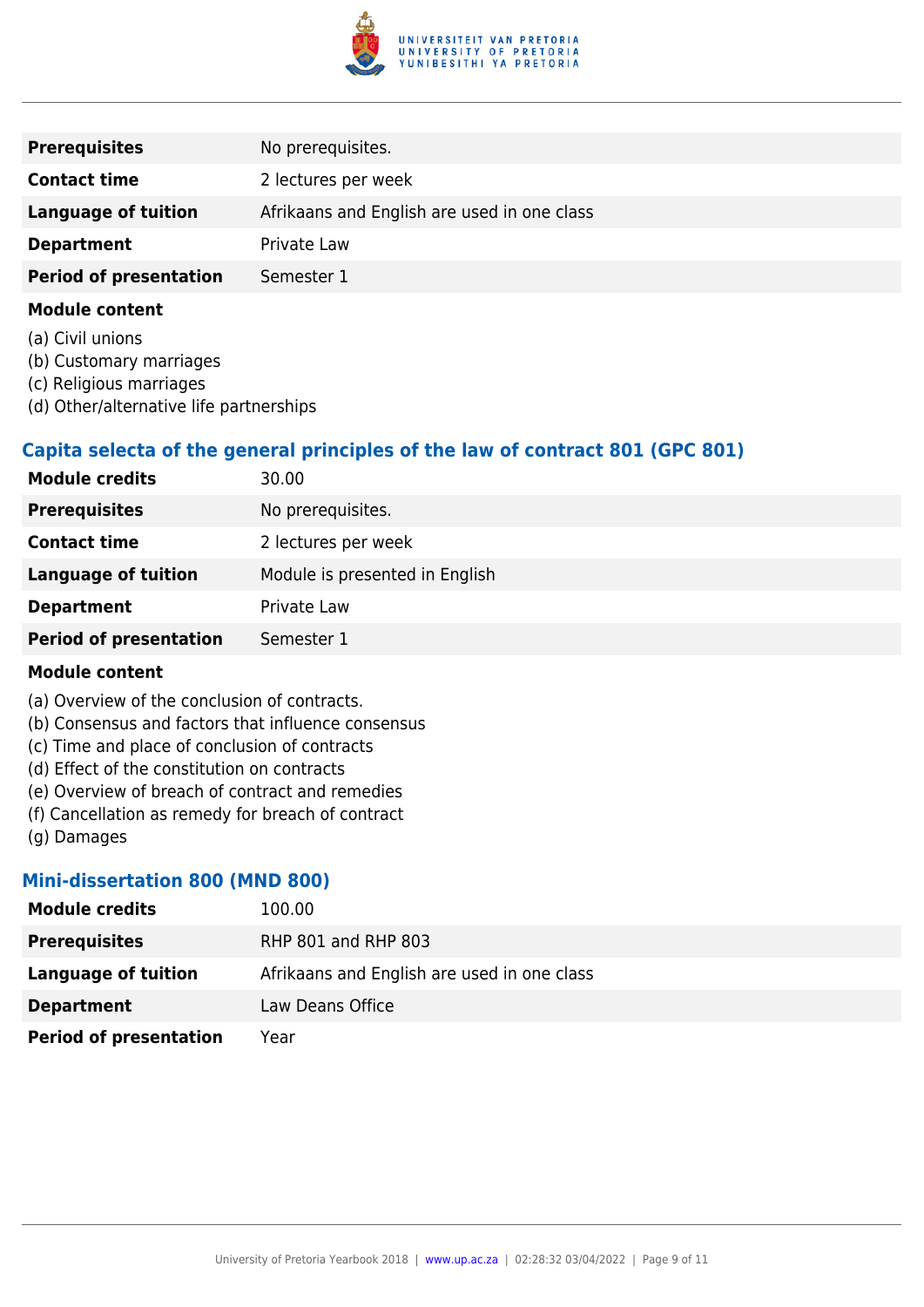

| No prerequisites.                           |
|---------------------------------------------|
| 2 lectures per week                         |
|                                             |
| Afrikaans and English are used in one class |
| Private Law                                 |
| Semester 1                                  |
|                                             |

- (a) Civil unions
- (b) Customary marriages
- (c) Religious marriages
- (d) Other/alternative life partnerships

#### **Capita selecta of the general principles of the law of contract 801 (GPC 801)**

| <b>Module credits</b>         | 30.00                          |
|-------------------------------|--------------------------------|
| <b>Prerequisites</b>          | No prerequisites.              |
| <b>Contact time</b>           | 2 lectures per week            |
| <b>Language of tuition</b>    | Module is presented in English |
| <b>Department</b>             | Private Law                    |
| <b>Period of presentation</b> | Semester 1                     |

#### **Module content**

- (a) Overview of the conclusion of contracts.
- (b) Consensus and factors that influence consensus
- (c) Time and place of conclusion of contracts
- (d) Effect of the constitution on contracts
- (e) Overview of breach of contract and remedies
- (f) Cancellation as remedy for breach of contract
- (g) Damages

#### **Mini-dissertation 800 (MND 800)**

| <b>Module credits</b>         | 100.00                                      |
|-------------------------------|---------------------------------------------|
| <b>Prerequisites</b>          | RHP 801 and RHP 803                         |
| Language of tuition           | Afrikaans and English are used in one class |
| <b>Department</b>             | Law Deans Office                            |
| <b>Period of presentation</b> | Year                                        |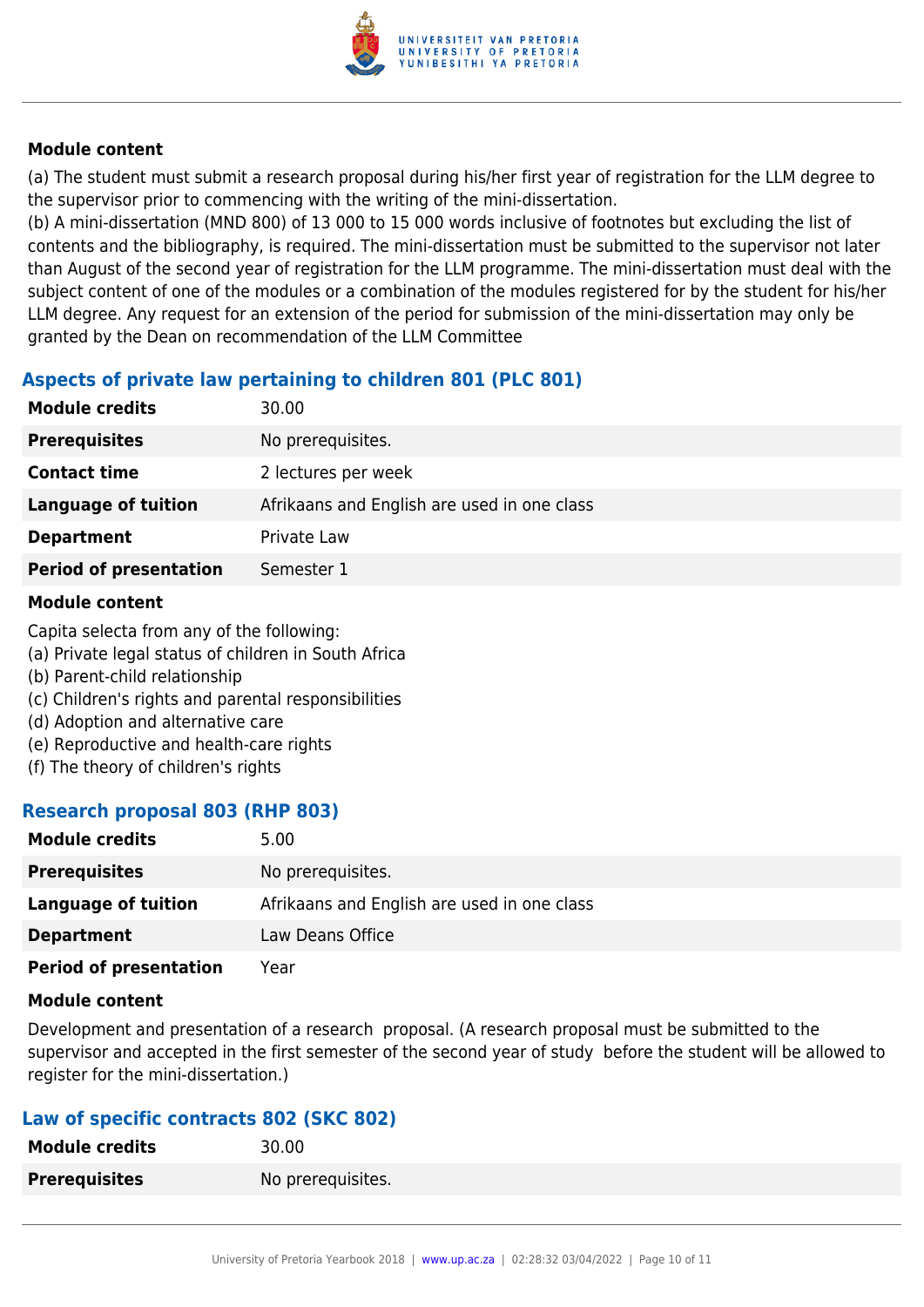

(a) The student must submit a research proposal during his/her first year of registration for the LLM degree to the supervisor prior to commencing with the writing of the mini-dissertation.

(b) A mini-dissertation (MND 800) of 13 000 to 15 000 words inclusive of footnotes but excluding the list of contents and the bibliography, is required. The mini-dissertation must be submitted to the supervisor not later than August of the second year of registration for the LLM programme. The mini-dissertation must deal with the subject content of one of the modules or a combination of the modules registered for by the student for his/her LLM degree. Any request for an extension of the period for submission of the mini-dissertation may only be granted by the Dean on recommendation of the LLM Committee

#### **Aspects of private law pertaining to children 801 (PLC 801)**

| <b>Module credits</b>         | 30.00                                       |
|-------------------------------|---------------------------------------------|
| <b>Prerequisites</b>          | No prerequisites.                           |
| <b>Contact time</b>           | 2 lectures per week                         |
| <b>Language of tuition</b>    | Afrikaans and English are used in one class |
| <b>Department</b>             | Private Law                                 |
| <b>Period of presentation</b> | Semester 1                                  |

#### **Module content**

Capita selecta from any of the following:

- (a) Private legal status of children in South Africa
- (b) Parent-child relationship
- (c) Children's rights and parental responsibilities
- (d) Adoption and alternative care
- (e) Reproductive and health-care rights
- (f) The theory of children's rights

#### **Research proposal 803 (RHP 803)**

| <b>Module credits</b>         | 5.00                                        |
|-------------------------------|---------------------------------------------|
| <b>Prerequisites</b>          | No prerequisites.                           |
| Language of tuition           | Afrikaans and English are used in one class |
| <b>Department</b>             | Law Deans Office                            |
| <b>Period of presentation</b> | Year                                        |

#### **Module content**

Development and presentation of a research proposal. (A research proposal must be submitted to the supervisor and accepted in the first semester of the second year of study before the student will be allowed to register for the mini-dissertation.)

#### **Law of specific contracts 802 (SKC 802)**

| <b>Module credits</b> | 30.00             |
|-----------------------|-------------------|
| <b>Prerequisites</b>  | No prerequisites. |